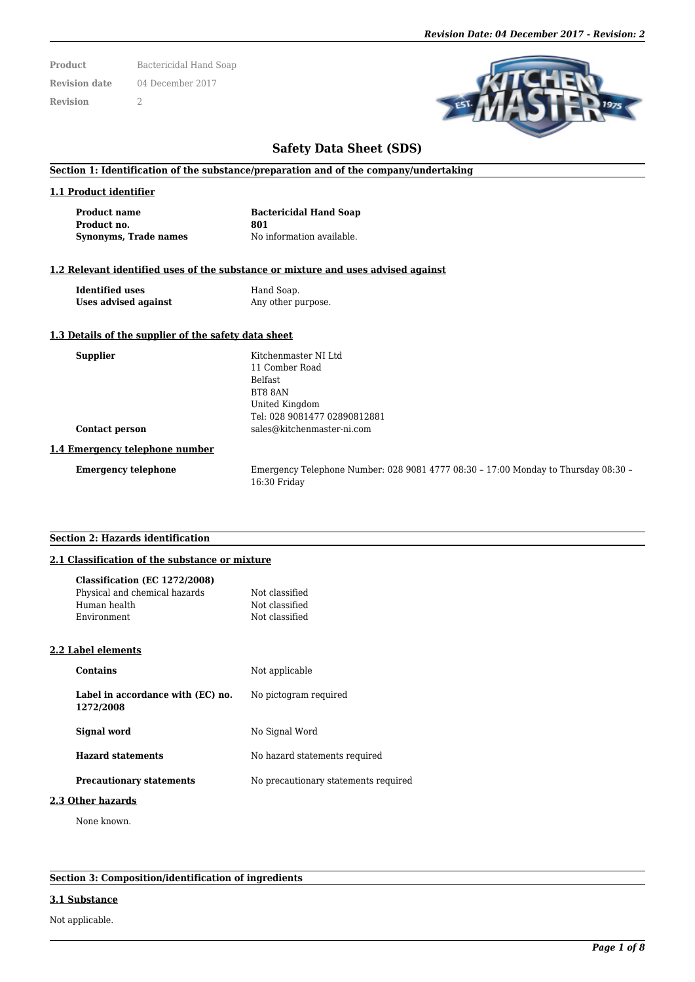**Product** Bactericidal Hand Soap **Revision date** 04 December 2017 **Revision** 2



# **Safety Data Sheet (SDS)**

### **Section 1: Identification of the substance/preparation and of the company/undertaking**

## **1.1 Product identifier**

**Product name Bactericidal Hand Soap Product no. 801 Synonyms, Trade names** No information available.

## **1.2 Relevant identified uses of the substance or mixture and uses advised against**

**Identified uses** Hand Soap.<br> **Ises advised against** Any other p

Any other purpose.

#### **1.3 Details of the supplier of the safety data sheet**

| Kitchenmaster NI Ltd                                                                               |
|----------------------------------------------------------------------------------------------------|
|                                                                                                    |
| 11 Comber Road                                                                                     |
| <b>Belfast</b>                                                                                     |
| BT8 8AN                                                                                            |
| United Kingdom                                                                                     |
| Tel: 028 9081477 02890812881                                                                       |
| sales@kitchenmaster-ni.com                                                                         |
|                                                                                                    |
| Emergency Telephone Number: 028 9081 4777 08:30 - 17:00 Monday to Thursday 08:30 -<br>16:30 Friday |
|                                                                                                    |

## **Section 2: Hazards identification**

### **2.1 Classification of the substance or mixture**

| Classification (EC 1272/2008)                  |                                      |
|------------------------------------------------|--------------------------------------|
| Physical and chemical hazards                  | Not classified                       |
| Human health                                   | Not classified                       |
| Environment                                    | Not classified                       |
| 2.2 Label elements                             |                                      |
| <b>Contains</b>                                | Not applicable                       |
| Label in accordance with (EC) no.<br>1272/2008 | No pictogram required                |
| Signal word                                    | No Signal Word                       |
| <b>Hazard statements</b>                       | No hazard statements required        |
| <b>Precautionary statements</b>                | No precautionary statements required |
|                                                |                                      |

#### **2.3 Other hazards**

None known.

**Section 3: Composition/identification of ingredients**

#### **3.1 Substance**

Not applicable.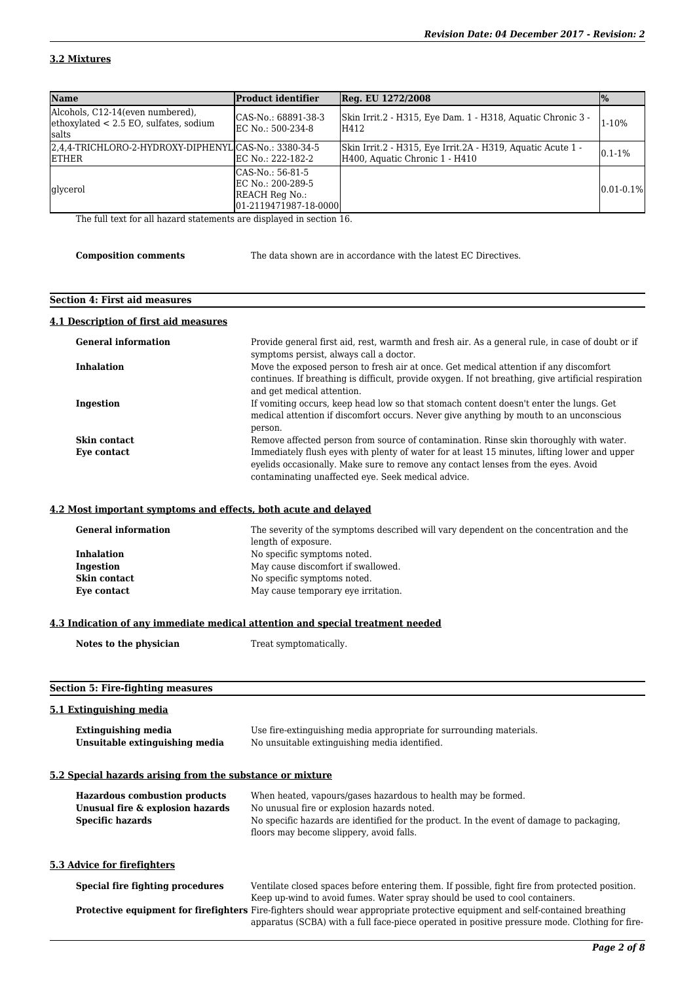# **3.2 Mixtures**

| <b>Name</b>                                                                               | <b>Product identifier</b>                                                          | Reg. EU 1272/2008                                                                             | $\frac{10}{6}$ |
|-------------------------------------------------------------------------------------------|------------------------------------------------------------------------------------|-----------------------------------------------------------------------------------------------|----------------|
| Alcohols, C12-14 (even numbered),<br>$ $ ethoxylated < 2.5 EO, sulfates, sodium<br>lsalts | CAS-No.: 68891-38-3<br>EC No.: 500-234-8                                           | Skin Irrit.2 - H315, Eye Dam. 1 - H318, Aquatic Chronic 3 -<br>H412                           | 1-10%          |
| 2,4,4-TRICHLORO-2-HYDROXY-DIPHENYL CAS-No.: 3380-34-5<br><b>IETHER</b>                    | EC No.: 222-182-2                                                                  | Skin Irrit.2 - H315, Eye Irrit.2A - H319, Aquatic Acute 1 -<br>H400, Aquatic Chronic 1 - H410 | $0.1 - 1\%$    |
| <i>d</i> lycerol                                                                          | ICAS-No.: 56-81-5<br>IEC No.: 200-289-5<br>REACH Reg No.:<br>01-2119471987-18-0000 |                                                                                               | $0.01 - 0.1\%$ |

The full text for all hazard statements are displayed in section 16.

|  | Composition comments |  |
|--|----------------------|--|
|  |                      |  |
|  |                      |  |

**Composition comments** The data shown are in accordance with the latest EC Directives.

## **Section 4: First aid measures**

#### **4.1 Description of first aid measures**

| <b>General information</b> | Provide general first aid, rest, warmth and fresh air. As a general rule, in case of doubt or if    |
|----------------------------|-----------------------------------------------------------------------------------------------------|
|                            | symptoms persist, always call a doctor.                                                             |
| <b>Inhalation</b>          | Move the exposed person to fresh air at once. Get medical attention if any discomfort               |
|                            | continues. If breathing is difficult, provide oxygen. If not breathing, give artificial respiration |
|                            | and get medical attention.                                                                          |
| Ingestion                  | If vomiting occurs, keep head low so that stomach content doesn't enter the lungs. Get              |
|                            | medical attention if discomfort occurs. Never give anything by mouth to an unconscious              |
|                            | person.                                                                                             |
| <b>Skin contact</b>        | Remove affected person from source of contamination. Rinse skin thoroughly with water.              |
| Eye contact                | Immediately flush eyes with plenty of water for at least 15 minutes, lifting lower and upper        |
|                            | evelids occasionally. Make sure to remove any contact lenses from the eyes. Avoid                   |
|                            | contaminating unaffected eye. Seek medical advice.                                                  |

## **4.2 Most important symptoms and effects, both acute and delayed**

| <b>General information</b> | The severity of the symptoms described will vary dependent on the concentration and the<br>length of exposure. |
|----------------------------|----------------------------------------------------------------------------------------------------------------|
| <b>Inhalation</b>          | No specific symptoms noted.                                                                                    |
| Ingestion                  | May cause discomfort if swallowed.                                                                             |
| Skin contact               | No specific symptoms noted.                                                                                    |
| Eye contact                | May cause temporary eye irritation.                                                                            |

## **4.3 Indication of any immediate medical attention and special treatment needed**

| Notes to the physician | Treat symptomatically. |  |
|------------------------|------------------------|--|
|                        |                        |  |

# **Section 5: Fire-fighting measures**

#### **5.1 Extinguishing media**

| <b>Extinguishing media</b>     | Use fire-extinguishing media appropriate for surrounding materials. |
|--------------------------------|---------------------------------------------------------------------|
| Unsuitable extinguishing media | No unsuitable extinguishing media identified.                       |

#### **5.2 Special hazards arising from the substance or mixture**

| <b>Hazardous combustion products</b> | When heated, vapours/gases hazardous to health may be formed.                                                                        |
|--------------------------------------|--------------------------------------------------------------------------------------------------------------------------------------|
| Unusual fire & explosion hazards     | No unusual fire or explosion hazards noted.                                                                                          |
| <b>Specific hazards</b>              | No specific hazards are identified for the product. In the event of damage to packaging,                                             |
|                                      | floors may become slippery, avoid falls.                                                                                             |
|                                      |                                                                                                                                      |
| 5.3 Advice for firefighters          |                                                                                                                                      |
| Special fire fighting procedures     |                                                                                                                                      |
|                                      | Ventilate closed spaces before entering them. If possible, fight fire from protected position.                                       |
|                                      | Keep up-wind to avoid fumes. Water spray should be used to cool containers.                                                          |
|                                      | <b>Protective equipment for firefighters</b> Fire-fighters should wear appropriate protective equipment and self-contained breathing |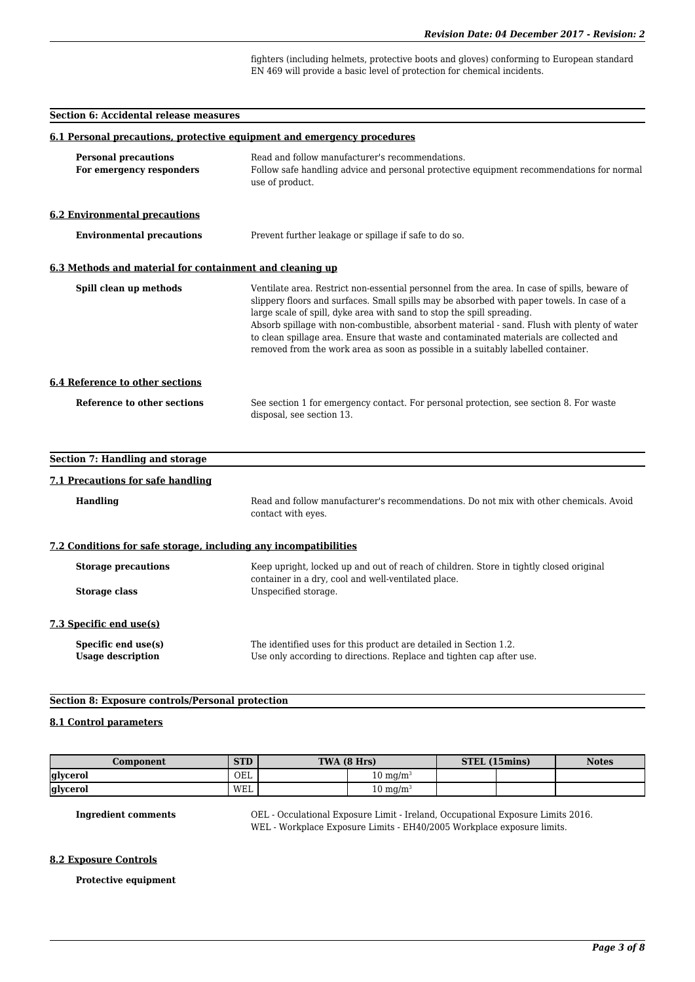fighters (including helmets, protective boots and gloves) conforming to European standard EN 469 will provide a basic level of protection for chemical incidents.

#### **Section 6: Accidental release measures**

| 6.1 Personal precautions, protective equipment and emergency procedures                                                                                                     |                                                                                                                                                                                                                                                                                                                                                                                                                                                                                                                                                   |
|-----------------------------------------------------------------------------------------------------------------------------------------------------------------------------|---------------------------------------------------------------------------------------------------------------------------------------------------------------------------------------------------------------------------------------------------------------------------------------------------------------------------------------------------------------------------------------------------------------------------------------------------------------------------------------------------------------------------------------------------|
| <b>Personal precautions</b><br>For emergency responders                                                                                                                     | Read and follow manufacturer's recommendations.<br>Follow safe handling advice and personal protective equipment recommendations for normal<br>use of product.                                                                                                                                                                                                                                                                                                                                                                                    |
| <b>6.2 Environmental precautions</b>                                                                                                                                        |                                                                                                                                                                                                                                                                                                                                                                                                                                                                                                                                                   |
| <b>Environmental precautions</b>                                                                                                                                            | Prevent further leakage or spillage if safe to do so.                                                                                                                                                                                                                                                                                                                                                                                                                                                                                             |
| 6.3 Methods and material for containment and cleaning up                                                                                                                    |                                                                                                                                                                                                                                                                                                                                                                                                                                                                                                                                                   |
| Spill clean up methods                                                                                                                                                      | Ventilate area. Restrict non-essential personnel from the area. In case of spills, beware of<br>slippery floors and surfaces. Small spills may be absorbed with paper towels. In case of a<br>large scale of spill, dyke area with sand to stop the spill spreading.<br>Absorb spillage with non-combustible, absorbent material - sand. Flush with plenty of water<br>to clean spillage area. Ensure that waste and contaminated materials are collected and<br>removed from the work area as soon as possible in a suitably labelled container. |
| <b>6.4 Reference to other sections</b>                                                                                                                                      |                                                                                                                                                                                                                                                                                                                                                                                                                                                                                                                                                   |
| Reference to other sections                                                                                                                                                 | See section 1 for emergency contact. For personal protection, see section 8. For waste<br>disposal, see section 13.                                                                                                                                                                                                                                                                                                                                                                                                                               |
| <b>Section 7: Handling and storage</b>                                                                                                                                      |                                                                                                                                                                                                                                                                                                                                                                                                                                                                                                                                                   |
| 7.1 Precautions for safe handling                                                                                                                                           |                                                                                                                                                                                                                                                                                                                                                                                                                                                                                                                                                   |
| <b>Handling</b>                                                                                                                                                             | Read and follow manufacturer's recommendations. Do not mix with other chemicals. Avoid<br>contact with eyes.                                                                                                                                                                                                                                                                                                                                                                                                                                      |
| 7.2 Conditions for safe storage, including any incompatibilities                                                                                                            |                                                                                                                                                                                                                                                                                                                                                                                                                                                                                                                                                   |
| Keep upright, locked up and out of reach of children. Store in tightly closed original<br><b>Storage precautions</b><br>container in a dry, cool and well-ventilated place. |                                                                                                                                                                                                                                                                                                                                                                                                                                                                                                                                                   |
| <b>Storage class</b>                                                                                                                                                        | Unspecified storage.                                                                                                                                                                                                                                                                                                                                                                                                                                                                                                                              |
| 7.3 Specific end use(s)                                                                                                                                                     |                                                                                                                                                                                                                                                                                                                                                                                                                                                                                                                                                   |
| Specific end use(s)<br><b>Usage description</b>                                                                                                                             | The identified uses for this product are detailed in Section 1.2.<br>Use only according to directions. Replace and tighten cap after use.                                                                                                                                                                                                                                                                                                                                                                                                         |

## **Section 8: Exposure controls/Personal protection**

## **8.1 Control parameters**

| Component       | <b>STD</b> | TWA (8 Hrs) |                     | STEL (15mins) | <b>Notes</b> |
|-----------------|------------|-------------|---------------------|---------------|--------------|
| <b>glycerol</b> | OEL        |             | $10 \text{ mg/m}$   |               |              |
| glycerol        | WEL        |             | $10 \text{ mg/m}^3$ |               |              |

**Ingredient comments** OEL - Occulational Exposure Limit - Ireland, Occupational Exposure Limits 2016. WEL - Workplace Exposure Limits - EH40/2005 Workplace exposure limits.

#### **8.2 Exposure Controls**

**Protective equipment**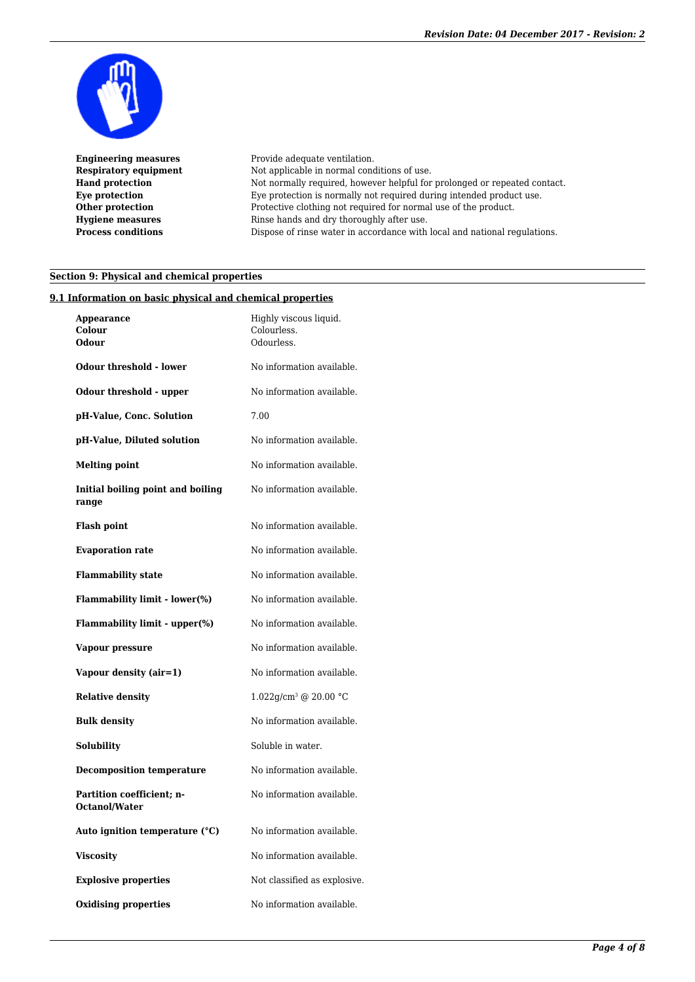

**Engineering measures** Provide adequate ventilation. **Respiratory equipment** Not applicable in normal conditions of use. Hand protection Not normally required, however helpful for prolonged or repeated contact. **Eye protection** Eye protection is normally not required during intended product use. **Other protection** Protective clothing not required for normal use of the product. **Hygiene measures** Rinse hands and dry thoroughly after use. **Process conditions** Dispose of rinse water in accordance with local and national regulations.

# **Section 9: Physical and chemical properties**

## **9.1 Information on basic physical and chemical properties**

| Appearance<br>Colour<br>Odour              | Highly viscous liquid.<br>Colourless.<br>Odourless. |
|--------------------------------------------|-----------------------------------------------------|
| <b>Odour threshold - lower</b>             | No information available.                           |
| Odour threshold - upper                    | No information available.                           |
| pH-Value, Conc. Solution                   | 7.00                                                |
| pH-Value, Diluted solution                 | No information available.                           |
| <b>Melting point</b>                       | No information available.                           |
| Initial boiling point and boiling<br>range | No information available.                           |
| <b>Flash point</b>                         | No information available.                           |
| <b>Evaporation rate</b>                    | No information available.                           |
| <b>Flammability state</b>                  | No information available.                           |
| <b>Flammability limit - lower(%)</b>       | No information available.                           |
| Flammability limit - upper(%)              | No information available.                           |
| Vapour pressure                            | No information available.                           |
| Vapour density (air=1)                     | No information available.                           |
| <b>Relative density</b>                    | 1.022g/cm <sup>3</sup> @ 20.00 °C                   |
| <b>Bulk density</b>                        | No information available.                           |
| Solubility                                 | Soluble in water.                                   |
| <b>Decomposition temperature</b>           | No information available.                           |
| Partition coefficient; n-<br>Octanol/Water | No information available.                           |
| Auto ignition temperature (°C)             | No information available.                           |
| <b>Viscosity</b>                           | No information available.                           |
| <b>Explosive properties</b>                | Not classified as explosive.                        |
| <b>Oxidising properties</b>                | No information available.                           |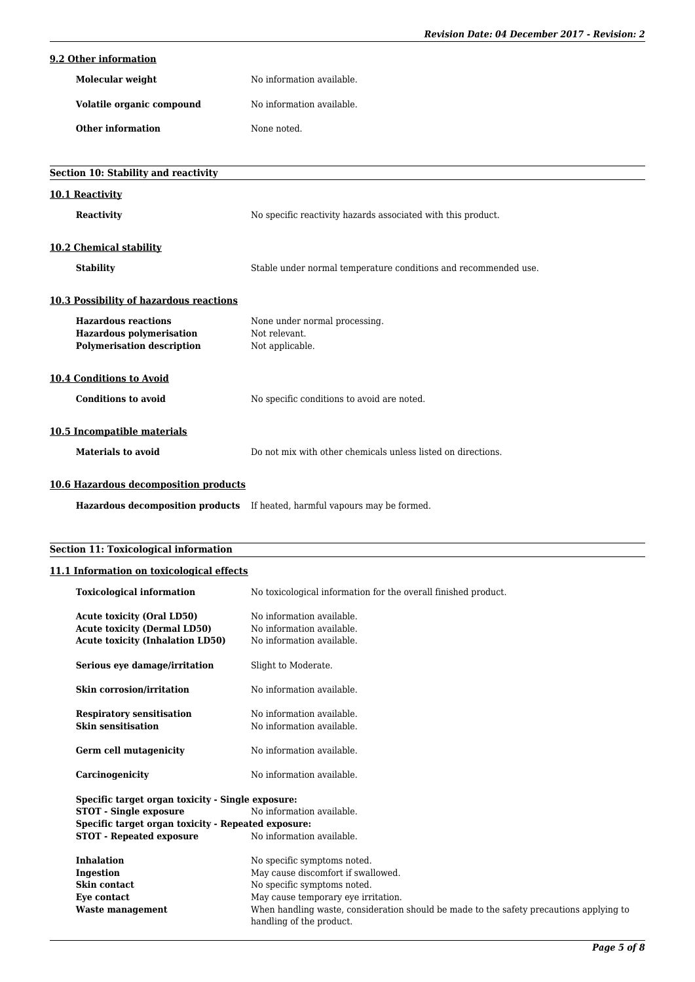# *Revision Date: 04 December 2017 - Revision: 2*

|  | 9.2 Other information |
|--|-----------------------|
|  |                       |

| Molecular weight          | No information available. |
|---------------------------|---------------------------|
| Volatile organic compound | No information available. |
| Other information         | None noted.               |

| Section 10: Stability and reactivity                                                               |                                                                            |
|----------------------------------------------------------------------------------------------------|----------------------------------------------------------------------------|
| 10.1 Reactivity                                                                                    |                                                                            |
| <b>Reactivity</b>                                                                                  | No specific reactivity hazards associated with this product.               |
| 10.2 Chemical stability                                                                            |                                                                            |
| <b>Stability</b>                                                                                   | Stable under normal temperature conditions and recommended use.            |
| <b>10.3 Possibility of hazardous reactions</b>                                                     |                                                                            |
| <b>Hazardous reactions</b><br><b>Hazardous polymerisation</b><br><b>Polymerisation description</b> | None under normal processing.<br>Not relevant.<br>Not applicable.          |
| <b>10.4 Conditions to Avoid</b>                                                                    |                                                                            |
| <b>Conditions to avoid</b>                                                                         | No specific conditions to avoid are noted.                                 |
| 10.5 Incompatible materials                                                                        |                                                                            |
| <b>Materials to avoid</b>                                                                          | Do not mix with other chemicals unless listed on directions.               |
| 10.6 Hazardous decomposition products                                                              |                                                                            |
|                                                                                                    | Hazardous decomposition products If heated, harmful vapours may be formed. |

# **Section 11: Toxicological information**

# **11.1 Information on toxicological effects**

| <b>Toxicological information</b>                                                                                    | No toxicological information for the overall finished product.                                                      |
|---------------------------------------------------------------------------------------------------------------------|---------------------------------------------------------------------------------------------------------------------|
| <b>Acute toxicity (Oral LD50)</b><br><b>Acute toxicity (Dermal LD50)</b><br><b>Acute toxicity (Inhalation LD50)</b> | No information available.<br>No information available.<br>No information available.                                 |
| Serious eye damage/irritation                                                                                       | Slight to Moderate.                                                                                                 |
| <b>Skin corrosion/irritation</b>                                                                                    | No information available.                                                                                           |
| <b>Respiratory sensitisation</b><br><b>Skin sensitisation</b>                                                       | No information available.<br>No information available.                                                              |
| Germ cell mutagenicity                                                                                              | No information available.                                                                                           |
| Carcinogenicity                                                                                                     | No information available.                                                                                           |
| Specific target organ toxicity - Single exposure:                                                                   |                                                                                                                     |
| <b>STOT - Single exposure</b>                                                                                       | No information available.                                                                                           |
| Specific target organ toxicity - Repeated exposure:                                                                 |                                                                                                                     |
| <b>STOT - Repeated exposure</b>                                                                                     | No information available.                                                                                           |
| <b>Inhalation</b>                                                                                                   | No specific symptoms noted.                                                                                         |
| Ingestion                                                                                                           | May cause discomfort if swallowed.                                                                                  |
| Skin contact                                                                                                        | No specific symptoms noted.                                                                                         |
| Eye contact                                                                                                         | May cause temporary eye irritation.                                                                                 |
| Waste management                                                                                                    | When handling waste, consideration should be made to the safety precautions applying to<br>handling of the product. |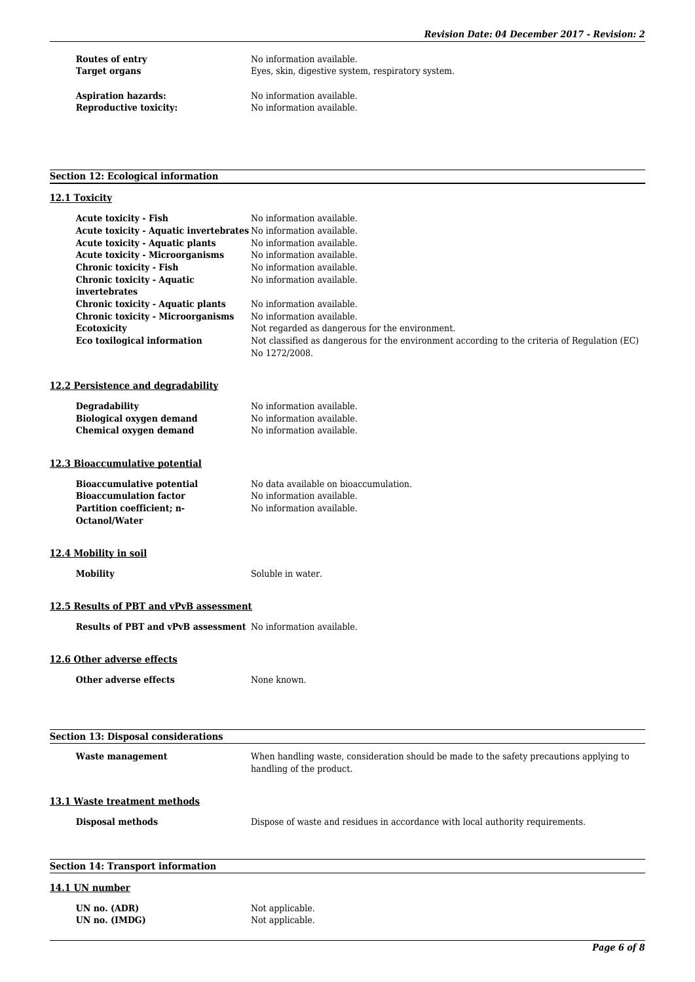**Routes of entry Mondumer Shows** No information available.<br> **Target organs** Eyes, skin, digestive syste Eyes, skin, digestive system, respiratory system.

**Aspiration hazards:** No information available.<br> **Reproductive toxicity:** No information available. No information available.

# **Section 12: Ecological information**

# **12.1 Toxicity**

| <b>Acute toxicity - Fish</b>                                        | No information available.                                                                                           |
|---------------------------------------------------------------------|---------------------------------------------------------------------------------------------------------------------|
| Acute toxicity - Aquatic invertebrates No information available.    |                                                                                                                     |
| <b>Acute toxicity - Aquatic plants</b>                              | No information available.                                                                                           |
| <b>Acute toxicity - Microorganisms</b>                              | No information available.                                                                                           |
| <b>Chronic toxicity - Fish</b>                                      | No information available.                                                                                           |
| <b>Chronic toxicity - Aquatic</b>                                   | No information available.                                                                                           |
| invertebrates                                                       |                                                                                                                     |
| <b>Chronic toxicity - Aquatic plants</b>                            | No information available.                                                                                           |
| <b>Chronic toxicity - Microorganisms</b>                            | No information available.                                                                                           |
| <b>Ecotoxicity</b>                                                  | Not regarded as dangerous for the environment.                                                                      |
| <b>Eco toxilogical information</b>                                  | Not classified as dangerous for the environment according to the criteria of Regulation (EC)<br>No 1272/2008.       |
| 12.2 Persistence and degradability                                  |                                                                                                                     |
| <b>Degradability</b>                                                | No information available.                                                                                           |
| <b>Biological oxygen demand</b>                                     | No information available.                                                                                           |
| <b>Chemical oxygen demand</b>                                       | No information available.                                                                                           |
|                                                                     |                                                                                                                     |
| 12.3 Bioaccumulative potential                                      |                                                                                                                     |
| <b>Bioaccumulative potential</b>                                    | No data available on bioaccumulation.                                                                               |
| <b>Bioaccumulation factor</b>                                       | No information available.                                                                                           |
| Partition coefficient; n-                                           | No information available.                                                                                           |
| <b>Octanol/Water</b>                                                |                                                                                                                     |
| 12.4 Mobility in soil                                               |                                                                                                                     |
| <b>Mobility</b>                                                     | Soluble in water.                                                                                                   |
| 12.5 Results of PBT and vPvB assessment                             |                                                                                                                     |
| <b>Results of PBT and vPvB assessment</b> No information available. |                                                                                                                     |
| 12.6 Other adverse effects                                          |                                                                                                                     |
| <b>Other adverse effects</b>                                        | None known.                                                                                                         |
|                                                                     |                                                                                                                     |
|                                                                     |                                                                                                                     |
|                                                                     |                                                                                                                     |
| <b>Section 13: Disposal considerations</b>                          |                                                                                                                     |
| <b>Waste management</b>                                             | When handling waste, consideration should be made to the safety precautions applying to<br>handling of the product. |
|                                                                     |                                                                                                                     |
| 13.1 Waste treatment methods                                        |                                                                                                                     |
| <b>Disposal methods</b>                                             | Dispose of waste and residues in accordance with local authority requirements.                                      |
|                                                                     |                                                                                                                     |
| <b>Section 14: Transport information</b>                            |                                                                                                                     |
| 14.1 UN number                                                      |                                                                                                                     |
| UN no. (ADR)                                                        | Not applicable.                                                                                                     |
| UN no. (IMDG)                                                       | Not applicable.                                                                                                     |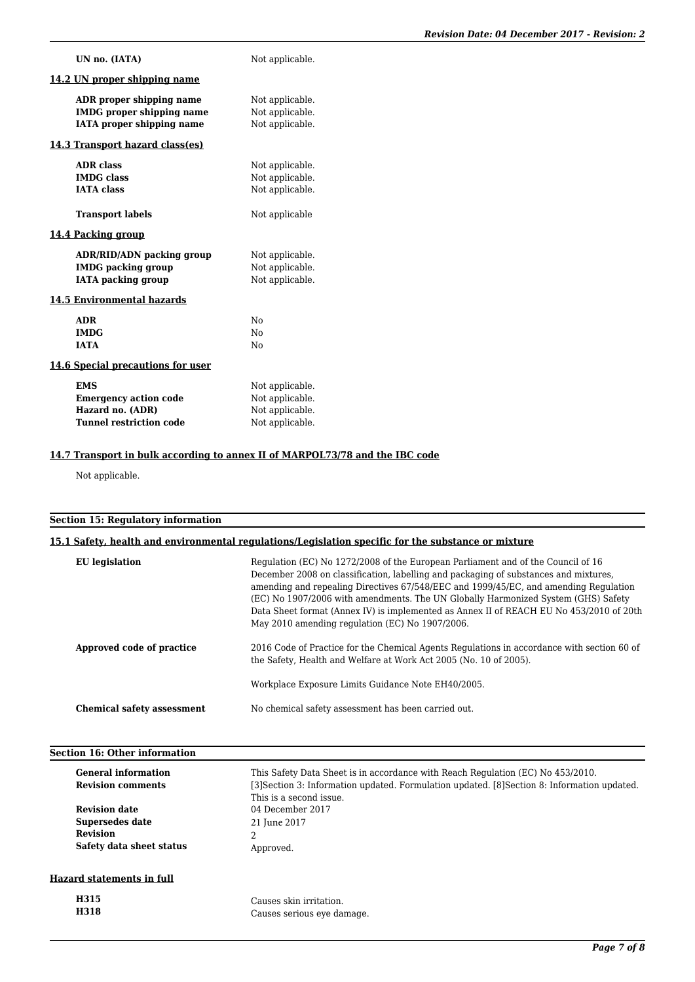| UN no. (IATA)                                                | Not applicable.                    |
|--------------------------------------------------------------|------------------------------------|
| 14.2 UN proper shipping name                                 |                                    |
| ADR proper shipping name<br><b>IMDG</b> proper shipping name | Not applicable.<br>Not applicable. |
| <b>IATA</b> proper shipping name                             | Not applicable.                    |
| 14.3 Transport hazard class(es)                              |                                    |
| <b>ADR</b> class                                             | Not applicable.                    |
| <b>IMDG</b> class                                            | Not applicable.                    |
| <b>IATA</b> class                                            | Not applicable.                    |
| <b>Transport labels</b>                                      | Not applicable                     |
| 14.4 Packing group                                           |                                    |
| ADR/RID/ADN packing group                                    | Not applicable.                    |
| <b>IMDG</b> packing group                                    | Not applicable.                    |
| <b>IATA</b> packing group                                    | Not applicable.                    |
| 14.5 Environmental hazards                                   |                                    |
| <b>ADR</b>                                                   | No                                 |
| <b>IMDG</b>                                                  | No                                 |
| <b>IATA</b>                                                  | N <sub>0</sub>                     |
| 14.6 Special precautions for user                            |                                    |
| <b>EMS</b>                                                   | Not applicable.                    |
| <b>Emergency action code</b>                                 | Not applicable.                    |
| Hazard no. (ADR)                                             | Not applicable.                    |
| <b>Tunnel restriction code</b>                               | Not applicable.                    |

# **14.7 Transport in bulk according to annex II of MARPOL73/78 and the IBC code**

Not applicable.

# **Section 15: Regulatory information**

# **15.1 Safety, health and environmental regulations/Legislation specific for the substance or mixture**

| <b>EU</b> legislation             | Regulation (EC) No 1272/2008 of the European Parliament and of the Council of 16<br>December 2008 on classification, labelling and packaging of substances and mixtures,<br>amending and repealing Directives 67/548/EEC and 1999/45/EC, and amending Regulation<br>(EC) No 1907/2006 with amendments. The UN Globally Harmonized System (GHS) Safety<br>Data Sheet format (Annex IV) is implemented as Annex II of REACH EU No 453/2010 of 20th<br>May 2010 amending regulation (EC) No 1907/2006. |
|-----------------------------------|-----------------------------------------------------------------------------------------------------------------------------------------------------------------------------------------------------------------------------------------------------------------------------------------------------------------------------------------------------------------------------------------------------------------------------------------------------------------------------------------------------|
| Approved code of practice         | 2016 Code of Practice for the Chemical Agents Regulations in accordance with section 60 of<br>the Safety, Health and Welfare at Work Act 2005 (No. 10 of 2005).                                                                                                                                                                                                                                                                                                                                     |
|                                   | Workplace Exposure Limits Guidance Note EH40/2005.                                                                                                                                                                                                                                                                                                                                                                                                                                                  |
| <b>Chemical safety assessment</b> | No chemical safety assessment has been carried out.                                                                                                                                                                                                                                                                                                                                                                                                                                                 |

#### **Section 16: Other information**

| <b>General information</b> | This Safety Data Sheet is in accordance with Reach Regulation (EC) No 453/2010.              |
|----------------------------|----------------------------------------------------------------------------------------------|
| <b>Revision comments</b>   | [3] Section 3: Information updated. Formulation updated. [8] Section 8: Information updated. |
|                            | This is a second issue.                                                                      |
| <b>Revision date</b>       | 04 December 2017                                                                             |
| Supersedes date            | 21 June 2017                                                                                 |
| <b>Revision</b>            | 2                                                                                            |
| Safety data sheet status   | Approved.                                                                                    |
| Hazard statements in full  |                                                                                              |
| H315                       | Causes skin irritation.                                                                      |
| H318                       | Causes serious eye damage.                                                                   |